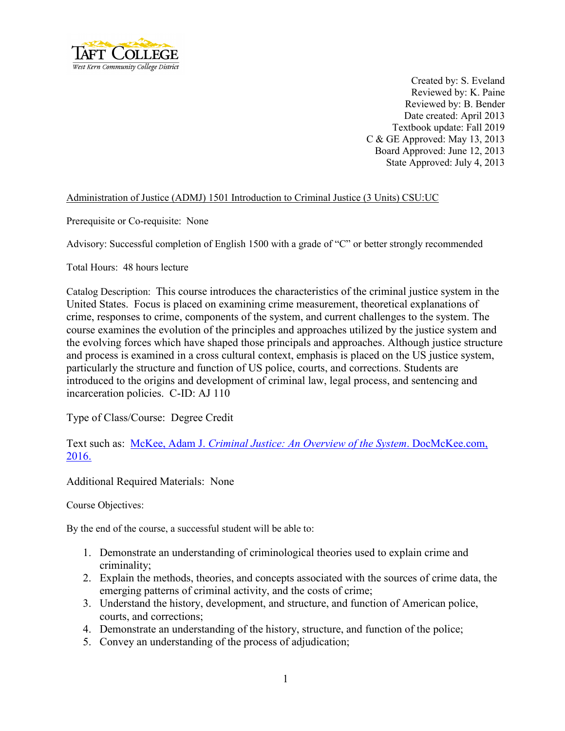

Created by: S. Eveland Reviewed by: K. Paine Reviewed by: B. Bender Date created: April 2013 Textbook update: Fall 2019 C & GE Approved: May 13, 2013 Board Approved: June 12, 2013 State Approved: July 4, 2013

## Administration of Justice (ADMJ) 1501 Introduction to Criminal Justice (3 Units) CSU:UC

Prerequisite or Co-requisite: None

Advisory: Successful completion of English 1500 with a grade of "C" or better strongly recommended

Total Hours: 48 hours lecture

Catalog Description: This course introduces the characteristics of the criminal justice system in the United States. Focus is placed on examining crime measurement, theoretical explanations of crime, responses to crime, components of the system, and current challenges to the system. The course examines the evolution of the principles and approaches utilized by the justice system and the evolving forces which have shaped those principals and approaches. Although justice structure and process is examined in a cross cultural context, emphasis is placed on the US justice system, particularly the structure and function of US police, courts, and corrections. Students are introduced to the origins and development of criminal law, legal process, and sentencing and incarceration policies. C-ID: AJ 110

Type of Class/Course: Degree Credit

Text such as: McKee, Adam J. *[Criminal Justice: An Overview of the System](https://www.docmckee.com/WP/cj/criminal-justice-an-overview-of-the-system/)*. DocMcKee.com, [2016.](https://www.docmckee.com/WP/cj/criminal-justice-an-overview-of-the-system/)

Additional Required Materials: None

Course Objectives:

By the end of the course, a successful student will be able to:

- 1. Demonstrate an understanding of criminological theories used to explain crime and criminality;
- 2. Explain the methods, theories, and concepts associated with the sources of crime data, the emerging patterns of criminal activity, and the costs of crime;
- 3. Understand the history, development, and structure, and function of American police, courts, and corrections;
- 4. Demonstrate an understanding of the history, structure, and function of the police;
- 5. Convey an understanding of the process of adjudication;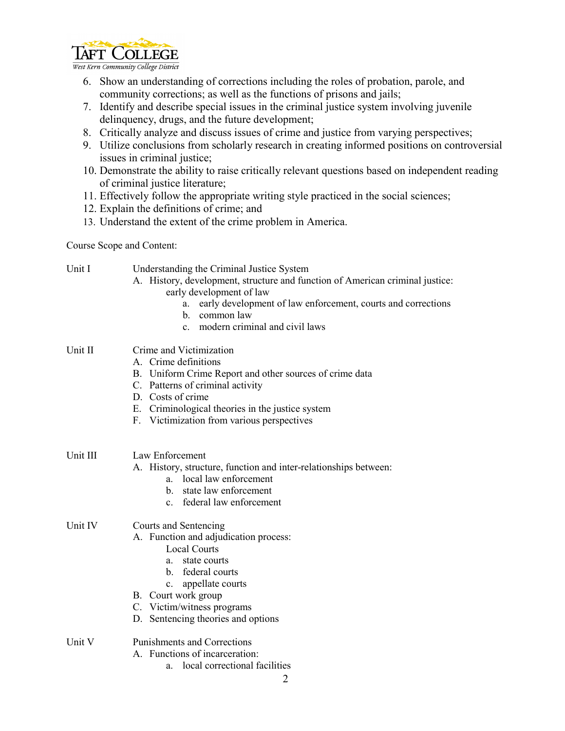

West Kern Community College District

- 6. Show an understanding of corrections including the roles of probation, parole, and community corrections; as well as the functions of prisons and jails;
- 7. Identify and describe special issues in the criminal justice system involving juvenile delinquency, drugs, and the future development;
- 8. Critically analyze and discuss issues of crime and justice from varying perspectives;
- 9. Utilize conclusions from scholarly research in creating informed positions on controversial issues in criminal justice;
- 10. Demonstrate the ability to raise critically relevant questions based on independent reading of criminal justice literature;
- 11. Effectively follow the appropriate writing style practiced in the social sciences;
- 12. Explain the definitions of crime; and

Unit I Understanding the Criminal Justice System

13. Understand the extent of the crime problem in America.

Course Scope and Content:

| UIII I   | Understanding the Criminal Justice System<br>A. History, development, structure and function of American criminal justice:<br>early development of law<br>early development of law enforcement, courts and corrections<br>a.<br>common law<br>h.<br>c. modern criminal and civil laws |
|----------|---------------------------------------------------------------------------------------------------------------------------------------------------------------------------------------------------------------------------------------------------------------------------------------|
| Unit II  | Crime and Victimization<br>A. Crime definitions<br>B. Uniform Crime Report and other sources of crime data<br>C. Patterns of criminal activity<br>D. Costs of crime<br>E. Criminological theories in the justice system<br>F. Victimization from various perspectives                 |
| Unit III | Law Enforcement<br>A. History, structure, function and inter-relationships between:<br>a. local law enforcement<br>state law enforcement<br>$\mathbf{b}$ .<br>c. federal law enforcement                                                                                              |
| Unit IV  | Courts and Sentencing<br>A. Function and adjudication process:<br><b>Local Courts</b><br>a. state courts<br>b. federal courts<br>appellate courts<br>$c_{\cdot}$<br>B. Court work group<br>C. Victim/witness programs<br>D. Sentencing theories and options                           |
| Unit V   | <b>Punishments and Corrections</b><br>A. Functions of incarceration:<br>a. local correctional facilities                                                                                                                                                                              |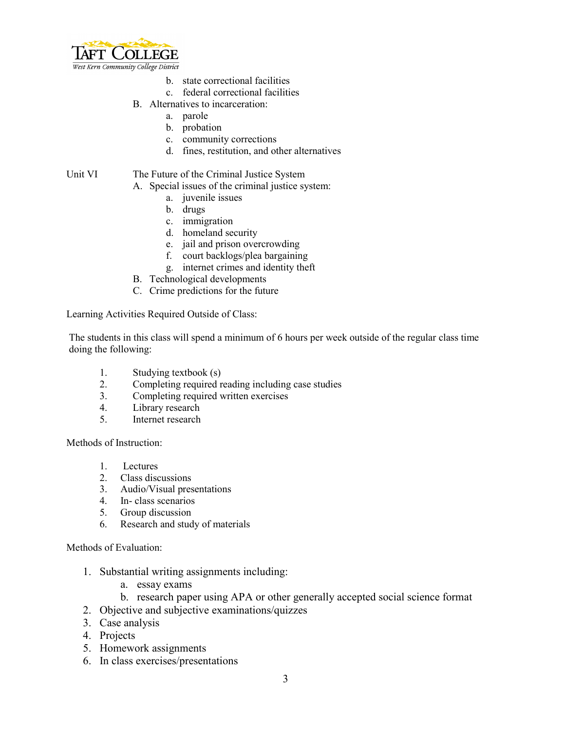

- b. state correctional facilities
- c. federal correctional facilities
- B. Alternatives to incarceration:
	- a. parole
	- b. probation
	- c. community corrections
	- d. fines, restitution, and other alternatives

## Unit VI The Future of the Criminal Justice System

## A. Special issues of the criminal justice system:

- a. juvenile issues
- b. drugs
- c. immigration
- d. homeland security
- e. jail and prison overcrowding
- f. court backlogs/plea bargaining
- g. internet crimes and identity theft
- B. Technological developments
- C. Crime predictions for the future

Learning Activities Required Outside of Class:

The students in this class will spend a minimum of 6 hours per week outside of the regular class time doing the following:

- 1. Studying textbook (s)
- 2. Completing required reading including case studies
- 3. Completing required written exercises
- 4. Library research
- 5. Internet research

Methods of Instruction:

- 1. Lectures
- 2. Class discussions
- 3. Audio/Visual presentations
- 4. In- class scenarios
- 5. Group discussion
- 6. Research and study of materials

Methods of Evaluation:

- 1. Substantial writing assignments including:
	- a. essay exams
	- b. research paper using APA or other generally accepted social science format
- 2. Objective and subjective examinations/quizzes
- 3. Case analysis
- 4. Projects
- 5. Homework assignments
- 6. In class exercises/presentations